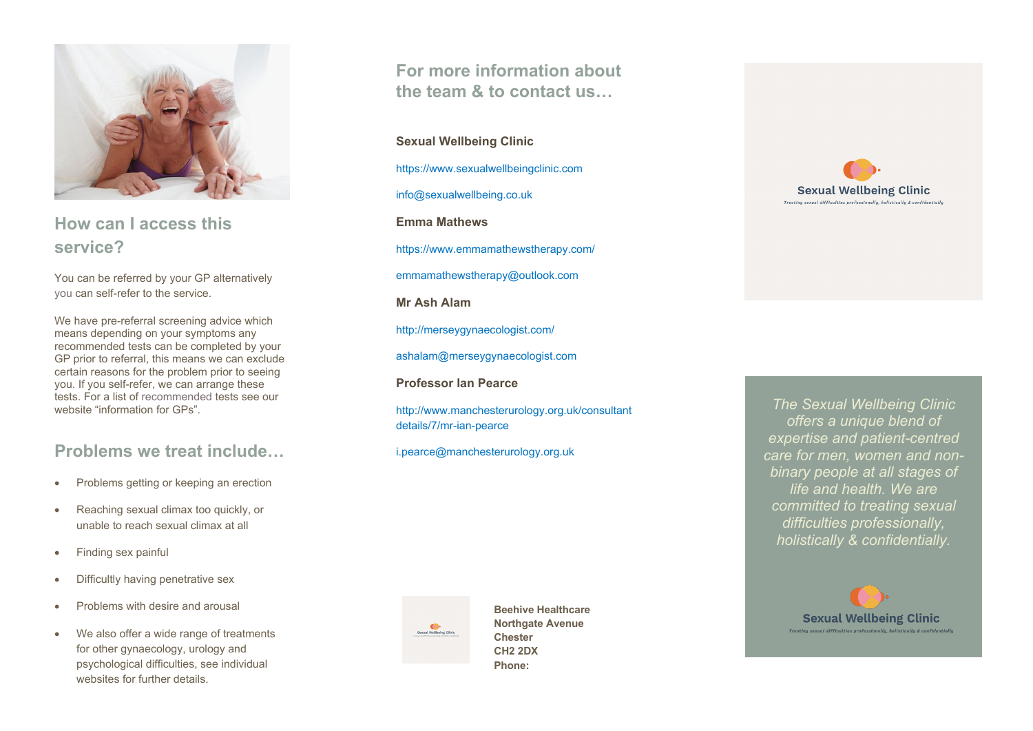

**How can I access this service? How can I access this service? service?**

You can be referred by your GP alternatively you can self-refer to the service. you can self-refer to the service. barre pre-referred and berthod.

We have pre-referral screening advice which means depending on your symptoms any means depending on your symptoms any means depending on your symptoms any<br>recommended tests can be completed by your recommended tests can be completed by your<br>GP prior to referral, this means we can exclude or prior to referral, this means we can exclude<br>certain reasons for the problem prior to seeing certain reasons for the problem phor to seeing<br>you. If you self-refer, we can arrange these you. if you sen-refer, we can arrange these<br>tests. For a list of recommended tests see our website "information for GPs". website "information for GPs". have pre-referral screening advice which

### **Problems we treat include… Problems we treat include…**

- Problems getting or keeping an erection • Problems getting or keeping an erection
- Reaching sexual climax too quickly, or unable to reach sexual climax at all .<br>In reach sexual climax at all
- $\bullet$  Finding sex painful  $\frac{1}{2}$ ind sex painful
- Difficultly having penetrative sex  $\sim$ ultly having penetrative sex
- $\bullet$  Problems with desire and arousal  $\epsilon$  and arousal desire and arousal
- We also offer a wide range of treatments for other gynaecology, urology and psychological difficulties, see individual websites for further details. websites for further details.

**find the team & to contact us... For more information about** 

**Sexual Wellbeing Clinic**

**Sexual Wellbeing Clinic** https://www.sexualwellbeingclinic.com **Sexual Wellbeing Clinic**

info@sexualwellbeing.co.uk https://www.sexualwellbeingclinic.com

**Emma Mathews** info@sexualwellbeing.co.uk

**Emma Mathews** https://www.emmamathewstherapy.com/ **Emma Mathews**

emmamathewstherapy@outlook.com https://www.emmamathewstherapy.com/

**Mr Ash Alam** 

**Mr Ash Alam** http://merseygynaecologist.com/ **Mr Ash Alam**

http://merseygynaecologist.com/ ashalam@merseygynaecologist.com http://merseygynaecologist.com/

**Professor Ian Pearce** ashalam@merseygynaecologist.com

**Professor Ian Pearce** http://www.manchesterurology.org.uk/consultant details/7/mr-ian-pearce **Professor Ian Pearce**

i.pearce@manchesterurology.org.uk details/7/mr-ian-pearce



**Chester Northgate Avenue CH2 2DX Chester Phone: CH<sub>2</sub> Beehive Healthcare Northgate Avenue** 



*The Sexual Wellbeing Clinic offers a unique blend of The Sexual Wellbeing Clinic offers a unique blend of expertise and patient-centred offers a unique blend of expertise and patient-centred care for men, women and non-expertise and patient-centred care for men, women and non-binary people at all stages of care for men, women and nonbinary people at all stages of life and health. We are binary people at all stages of life and health. We are committed to treating sexual life and health. We are*  **difficulties professional committed to treating sexual and the sexual of the sexual vector of the sexual vector** *difficulties professionally, holistically & confidentially. difficulties professionally, holistically & confidentially. holistically & confidentially.*